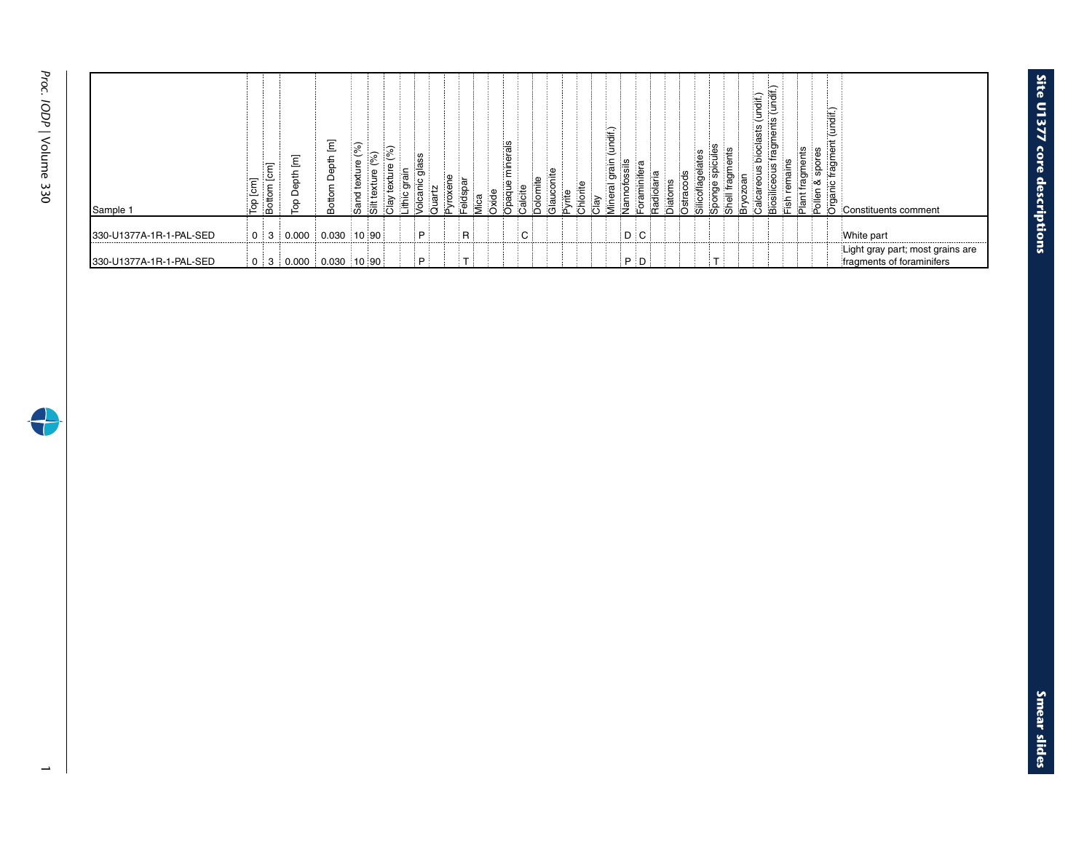€

| Sample 1                 | $\epsilon$<br>Ъp | Ξ<br>ပ<br>g<br>븅<br>ത | $\overline{\epsilon}$<br>訁<br>≏<br>Ρg | Ξ<br>Depth<br>Bottom | Sol<br>۵ă | 、読    | 注 | ass<br>Ξ | $e$ lds | $\mathbf \sigma$<br><u>: ⊔</u> | ्च<br>४ | ninerals<br>pag | alcite | nite<br>∺ | ω.<br>ಸ | € | ∺ | ಹ | GH)<br>įŠ |       | <u>⊺ਰ</u> | ≝ |  | (undif.)<br>sts<br>ioda<br>⋇ | ॉॅंच<br>∶≒<br>ď | ¦≝ | Ţ | (undif.)<br>5<br>Öğ | Constituents comment                                          |
|--------------------------|------------------|-----------------------|---------------------------------------|----------------------|-----------|-------|---|----------|---------|--------------------------------|---------|-----------------|--------|-----------|---------|---|---|---|-----------|-------|-----------|---|--|------------------------------|-----------------|----|---|---------------------|---------------------------------------------------------------|
| 1330-U1377A-1R-1-PAL-SED | 0                | 3                     | 0.000                                 | 0.030                |           | 10 90 |   | P        |         | ∃R i                           |         |                 |        | : C :     |         |   |   |   |           | D C   |           |   |  |                              |                 |    |   |                     | White part                                                    |
| 330-U1377A-1R-1-PAL-SED  |                  |                       | $0$ 3 0.000 0.030 10 90               |                      |           |       |   | iΡj.     |         |                                |         |                 |        |           |         |   |   |   |           | $P$ D |           |   |  |                              |                 |    |   |                     | Light gray part; most grains are<br>fragments of foraminifers |

**Site U1377 core** 

**descriptions**